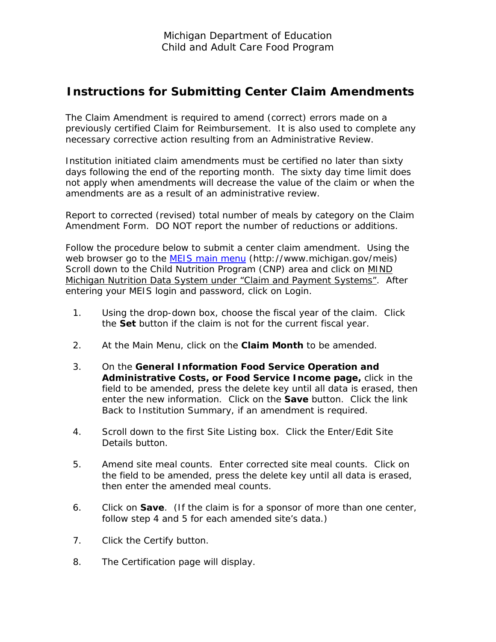## **Instructions for Submitting Center Claim Amendments**

The Claim Amendment is required to amend (correct) errors made on a previously certified Claim for Reimbursement. It is also used to complete any necessary corrective action resulting from an Administrative Review.

Institution initiated claim amendments must be certified no later than sixty days following the end of the reporting month. The sixty day time limit does not apply when amendments will decrease the value of the claim or when the amendments are as a result of an administrative review.

Report to corrected (revised) total number of meals by category on the Claim Amendment Form. DO NOT report the number of reductions or additions.

Follow the procedure below to submit a center claim amendment. Using the web browser go to the [MEIS main menu](http://www.michigan.gov/meis) (http://www.michigan.gov/meis) Scroll down to the Child Nutrition Program (CNP) area and click on **MIND** Michigan Nutrition Data System under "Claim and Payment Systems". After entering your MEIS login and password, click on Login.

- 1. Using the drop-down box, choose the fiscal year of the claim. Click the **Set** button if the claim is not for the current fiscal year.
- 2. At the Main Menu, click on the **Claim Month** to be amended.
- 3. On the **General Information Food Service Operation and Administrative Costs, or Food Service Income page,** click in the field to be amended, press the delete key until all data is erased, then enter the new information. Click on the **Save** button. Click the link Back to Institution Summary, if an amendment is required.
- 4. Scroll down to the first Site Listing box. Click the Enter/Edit Site Details button.
- 5. Amend site meal counts. Enter corrected site meal counts. Click on the field to be amended, press the delete key until all data is erased, then enter the amended meal counts.
- 6. Click on **Save**. (If the claim is for a sponsor of more than one center, follow step 4 and 5 for each amended site's data.)
- 7. Click the Certify button.
- 8. The Certification page will display.